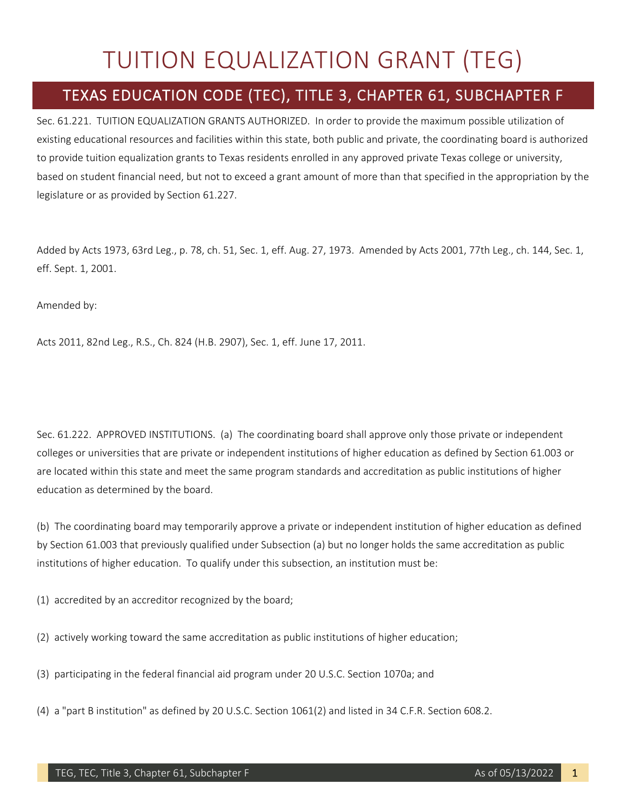## TUITION EQUALIZATION GRANT (TEG)

## TEXAS EDUCATION CODE (TEC), TITLE 3, CHAPTER 61, SUBCHAPTER F

Sec. 61.221. TUITION EQUALIZATION GRANTS AUTHORIZED. In order to provide the maximum possible utilization of existing educational resources and facilities within this state, both public and private, the coordinating board is authorized to provide tuition equalization grants to Texas residents enrolled in any approved private Texas college or university, based on student financial need, but not to exceed a grant amount of more than that specified in the appropriation by the legislature or as provided by Section 61.227.

Added by Acts 1973, 63rd Leg., p. 78, ch. 51, Sec. 1, eff. Aug. 27, 1973. Amended by Acts 2001, 77th Leg., ch. 144, Sec. 1, eff. Sept. 1, 2001.

Amended by:

Acts 2011, 82nd Leg., R.S., Ch. 824 (H.B. 2907), Sec. 1, eff. June 17, 2011.

Sec. 61.222. APPROVED INSTITUTIONS. (a) The coordinating board shall approve only those private or independent colleges or universities that are private or independent institutions of higher education as defined by Section 61.003 or are located within this state and meet the same program standards and accreditation as public institutions of higher education as determined by the board.

(b) The coordinating board may temporarily approve a private or independent institution of higher education as defined by Section 61.003 that previously qualified under Subsection (a) but no longer holds the same accreditation as public institutions of higher education. To qualify under this subsection, an institution must be:

(1) accredited by an accreditor recognized by the board;

- (2) actively working toward the same accreditation as public institutions of higher education;
- (3) participating in the federal financial aid program under 20 U.S.C. Section 1070a; and
- (4) a "part B institution" as defined by 20 U.S.C. Section 1061(2) and listed in 34 C.F.R. Section 608.2.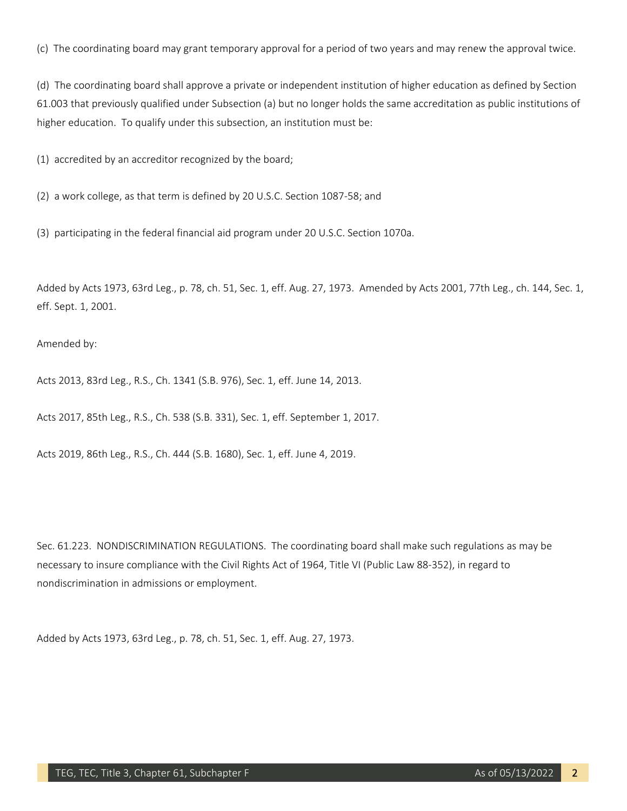(c) The coordinating board may grant temporary approval for a period of two years and may renew the approval twice.

(d) The coordinating board shall approve a private or independent institution of higher education as defined by Section 61.003 that previously qualified under Subsection (a) but no longer holds the same accreditation as public institutions of higher education. To qualify under this subsection, an institution must be:

(1) accredited by an accreditor recognized by the board;

(2) a work college, as that term is defined by 20 U.S.C. Section 1087-58; and

(3) participating in the federal financial aid program under 20 U.S.C. Section 1070a.

Added by Acts 1973, 63rd Leg., p. 78, ch. 51, Sec. 1, eff. Aug. 27, 1973. Amended by Acts 2001, 77th Leg., ch. 144, Sec. 1, eff. Sept. 1, 2001.

Amended by:

Acts 2013, 83rd Leg., R.S., Ch. 1341 (S.B. 976), Sec. 1, eff. June 14, 2013.

Acts 2017, 85th Leg., R.S., Ch. 538 (S.B. 331), Sec. 1, eff. September 1, 2017.

Acts 2019, 86th Leg., R.S., Ch. 444 (S.B. 1680), Sec. 1, eff. June 4, 2019.

Sec. 61.223. NONDISCRIMINATION REGULATIONS. The coordinating board shall make such regulations as may be necessary to insure compliance with the Civil Rights Act of 1964, Title VI (Public Law 88-352), in regard to nondiscrimination in admissions or employment.

Added by Acts 1973, 63rd Leg., p. 78, ch. 51, Sec. 1, eff. Aug. 27, 1973.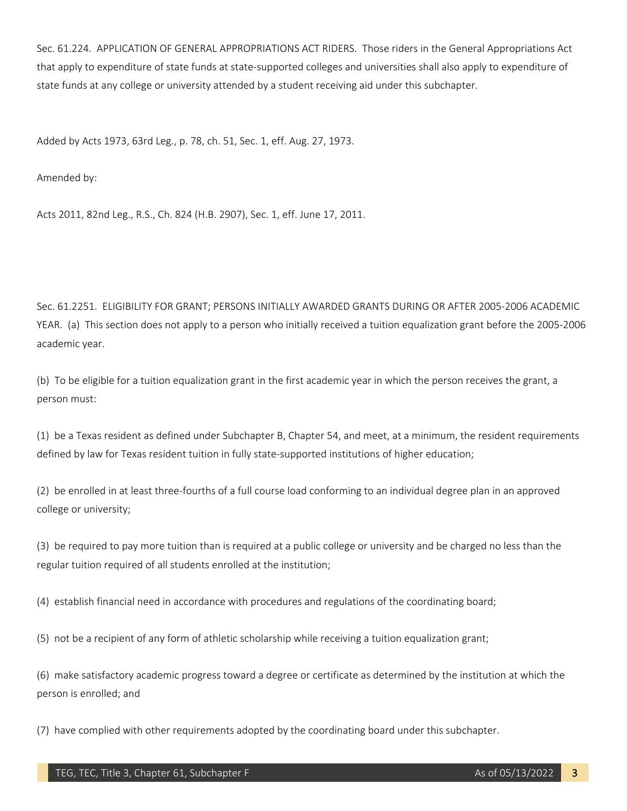Sec. 61.224. APPLICATION OF GENERAL APPROPRIATIONS ACT RIDERS. Those riders in the General Appropriations Act that apply to expenditure of state funds at state-supported colleges and universities shall also apply to expenditure of state funds at any college or university attended by a student receiving aid under this subchapter.

Added by Acts 1973, 63rd Leg., p. 78, ch. 51, Sec. 1, eff. Aug. 27, 1973.

Amended by:

Acts 2011, 82nd Leg., R.S., Ch. 824 (H.B. 2907), Sec. 1, eff. June 17, 2011.

Sec. 61.2251. ELIGIBILITY FOR GRANT; PERSONS INITIALLY AWARDED GRANTS DURING OR AFTER 2005-2006 ACADEMIC YEAR. (a) This section does not apply to a person who initially received a tuition equalization grant before the 2005-2006 academic year.

(b) To be eligible for a tuition equalization grant in the first academic year in which the person receives the grant, a person must:

(1) be a Texas resident as defined under Subchapter B, Chapter 54, and meet, at a minimum, the resident requirements defined by law for Texas resident tuition in fully state-supported institutions of higher education;

(2) be enrolled in at least three-fourths of a full course load conforming to an individual degree plan in an approved college or university;

(3) be required to pay more tuition than is required at a public college or university and be charged no less than the regular tuition required of all students enrolled at the institution;

(4) establish financial need in accordance with procedures and regulations of the coordinating board;

(5) not be a recipient of any form of athletic scholarship while receiving a tuition equalization grant;

(6) make satisfactory academic progress toward a degree or certificate as determined by the institution at which the person is enrolled; and

(7) have complied with other requirements adopted by the coordinating board under this subchapter.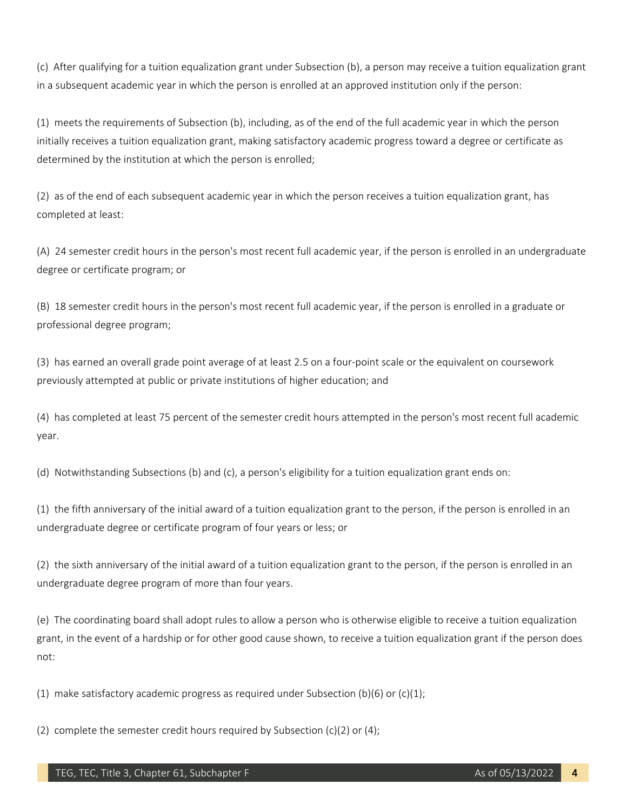(c) After qualifying for a tuition equalization grant under Subsection (b), a person may receive a tuition equalization grant in a subsequent academic year in which the person is enrolled at an approved institution only if the person:

(1) meets the requirements of Subsection (b), including, as of the end of the full academic year in which the person initially receives a tuition equalization grant, making satisfactory academic progress toward a degree or certificate as determined by the institution at which the person is enrolled;

(2) as of the end of each subsequent academic year in which the person receives a tuition equalization grant, has completed at least:

(A) 24 semester credit hours in the person's most recent full academic year, if the person is enrolled in an undergraduate degree or certificate program; or

(B) 18 semester credit hours in the person's most recent full academic year, if the person is enrolled in a graduate or professional degree program;

(3) has earned an overall grade point average of at least 2.5 on a four-point scale or the equivalent on coursework previously attempted at public or private institutions of higher education; and

(4) has completed at least 75 percent of the semester credit hours attempted in the person's most recent full academic year.

(d) Notwithstanding Subsections (b) and (c), a person's eligibility for a tuition equalization grant ends on:

(1) the fifth anniversary of the initial award of a tuition equalization grant to the person, if the person is enrolled in an undergraduate degree or certificate program of four years or less; or

(2) the sixth anniversary of the initial award of a tuition equalization grant to the person, if the person is enrolled in an undergraduate degree program of more than four years.

(e) The coordinating board shall adopt rules to allow a person who is otherwise eligible to receive a tuition equalization grant, in the event of a hardship or for other good cause shown, to receive a tuition equalization grant if the person does not:

(1) make satisfactory academic progress as required under Subsection (b)(6) or (c)(1);

(2) complete the semester credit hours required by Subsection (c)(2) or (4);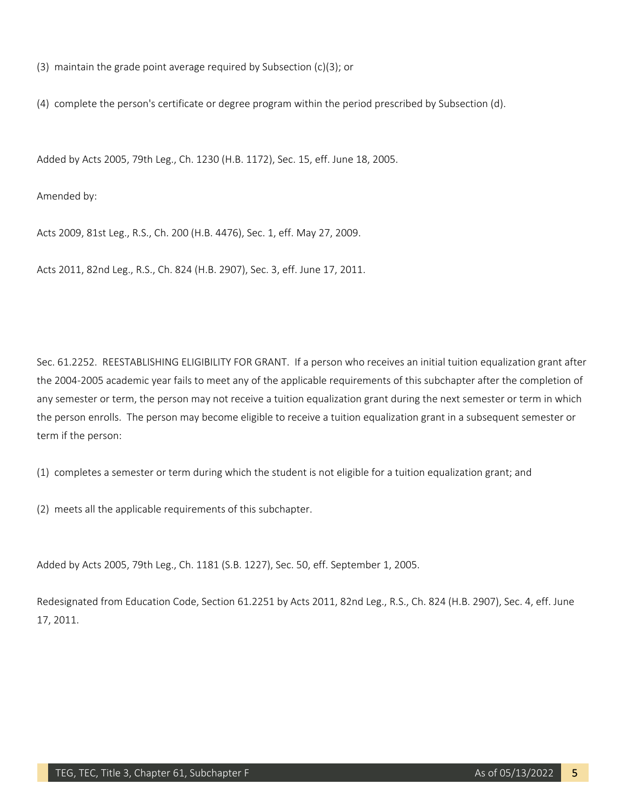(3) maintain the grade point average required by Subsection (c)(3); or

(4) complete the person's certificate or degree program within the period prescribed by Subsection (d).

Added by Acts 2005, 79th Leg., Ch. 1230 (H.B. 1172), Sec. 15, eff. June 18, 2005.

Amended by:

Acts 2009, 81st Leg., R.S., Ch. 200 (H.B. 4476), Sec. 1, eff. May 27, 2009.

Acts 2011, 82nd Leg., R.S., Ch. 824 (H.B. 2907), Sec. 3, eff. June 17, 2011.

Sec. 61.2252. REESTABLISHING ELIGIBILITY FOR GRANT. If a person who receives an initial tuition equalization grant after the 2004-2005 academic year fails to meet any of the applicable requirements of this subchapter after the completion of any semester or term, the person may not receive a tuition equalization grant during the next semester or term in which the person enrolls. The person may become eligible to receive a tuition equalization grant in a subsequent semester or term if the person:

(1) completes a semester or term during which the student is not eligible for a tuition equalization grant; and

(2) meets all the applicable requirements of this subchapter.

Added by Acts 2005, 79th Leg., Ch. 1181 (S.B. 1227), Sec. 50, eff. September 1, 2005.

Redesignated from Education Code, Section 61.2251 by Acts 2011, 82nd Leg., R.S., Ch. 824 (H.B. 2907), Sec. 4, eff. June 17, 2011.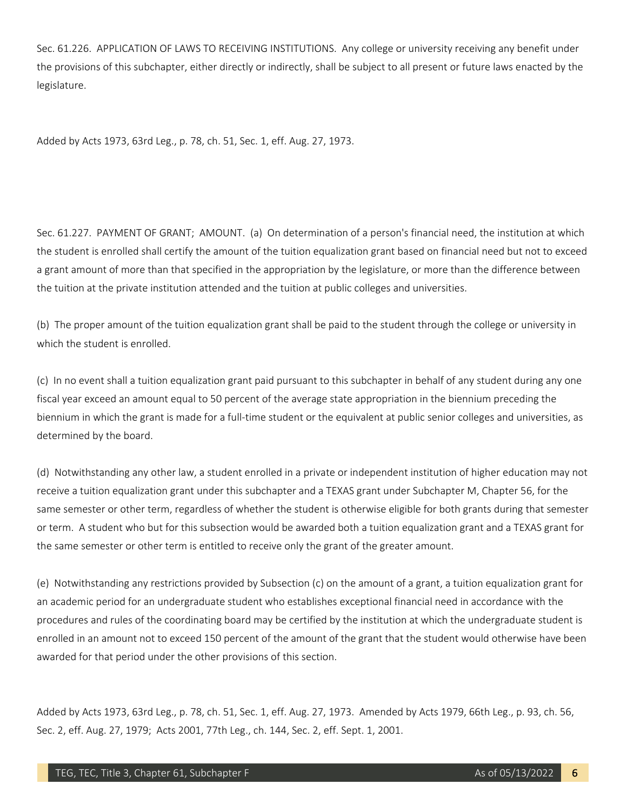Sec. 61.226. APPLICATION OF LAWS TO RECEIVING INSTITUTIONS. Any college or university receiving any benefit under the provisions of this subchapter, either directly or indirectly, shall be subject to all present or future laws enacted by the legislature.

Added by Acts 1973, 63rd Leg., p. 78, ch. 51, Sec. 1, eff. Aug. 27, 1973.

Sec. 61.227. PAYMENT OF GRANT; AMOUNT. (a) On determination of a person's financial need, the institution at which the student is enrolled shall certify the amount of the tuition equalization grant based on financial need but not to exceed a grant amount of more than that specified in the appropriation by the legislature, or more than the difference between the tuition at the private institution attended and the tuition at public colleges and universities.

(b) The proper amount of the tuition equalization grant shall be paid to the student through the college or university in which the student is enrolled.

(c) In no event shall a tuition equalization grant paid pursuant to this subchapter in behalf of any student during any one fiscal year exceed an amount equal to 50 percent of the average state appropriation in the biennium preceding the biennium in which the grant is made for a full-time student or the equivalent at public senior colleges and universities, as determined by the board.

(d) Notwithstanding any other law, a student enrolled in a private or independent institution of higher education may not receive a tuition equalization grant under this subchapter and a TEXAS grant under Subchapter M, Chapter 56, for the same semester or other term, regardless of whether the student is otherwise eligible for both grants during that semester or term. A student who but for this subsection would be awarded both a tuition equalization grant and a TEXAS grant for the same semester or other term is entitled to receive only the grant of the greater amount.

(e) Notwithstanding any restrictions provided by Subsection (c) on the amount of a grant, a tuition equalization grant for an academic period for an undergraduate student who establishes exceptional financial need in accordance with the procedures and rules of the coordinating board may be certified by the institution at which the undergraduate student is enrolled in an amount not to exceed 150 percent of the amount of the grant that the student would otherwise have been awarded for that period under the other provisions of this section.

Added by Acts 1973, 63rd Leg., p. 78, ch. 51, Sec. 1, eff. Aug. 27, 1973. Amended by Acts 1979, 66th Leg., p. 93, ch. 56, Sec. 2, eff. Aug. 27, 1979; Acts 2001, 77th Leg., ch. 144, Sec. 2, eff. Sept. 1, 2001.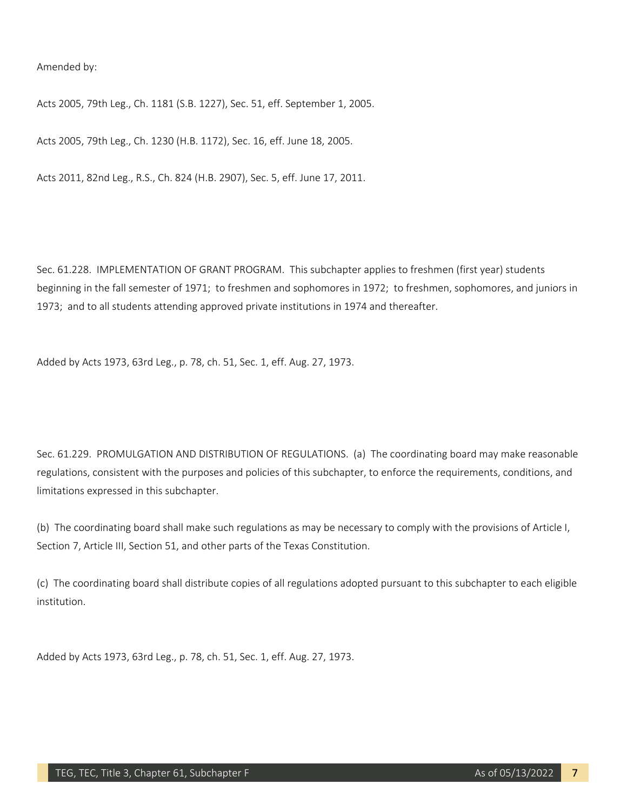Amended by:

Acts 2005, 79th Leg., Ch. 1181 (S.B. 1227), Sec. 51, eff. September 1, 2005.

Acts 2005, 79th Leg., Ch. 1230 (H.B. 1172), Sec. 16, eff. June 18, 2005.

Acts 2011, 82nd Leg., R.S., Ch. 824 (H.B. 2907), Sec. 5, eff. June 17, 2011.

Sec. 61.228. IMPLEMENTATION OF GRANT PROGRAM. This subchapter applies to freshmen (first year) students beginning in the fall semester of 1971; to freshmen and sophomores in 1972; to freshmen, sophomores, and juniors in 1973; and to all students attending approved private institutions in 1974 and thereafter.

Added by Acts 1973, 63rd Leg., p. 78, ch. 51, Sec. 1, eff. Aug. 27, 1973.

Sec. 61.229. PROMULGATION AND DISTRIBUTION OF REGULATIONS. (a) The coordinating board may make reasonable regulations, consistent with the purposes and policies of this subchapter, to enforce the requirements, conditions, and limitations expressed in this subchapter.

(b) The coordinating board shall make such regulations as may be necessary to comply with the provisions of Article I, Section 7, Article III, Section 51, and other parts of the Texas Constitution.

(c) The coordinating board shall distribute copies of all regulations adopted pursuant to this subchapter to each eligible institution.

Added by Acts 1973, 63rd Leg., p. 78, ch. 51, Sec. 1, eff. Aug. 27, 1973.